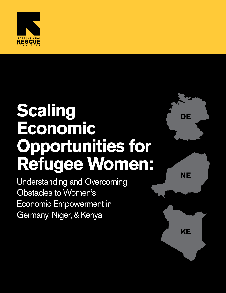

## **Scaling Economic Opportunities for Refugee Women:**

Understanding and Overcoming Obstacles to Women's Economic Empowerment in Germany, Niger, & Kenya



**NE**

**KE**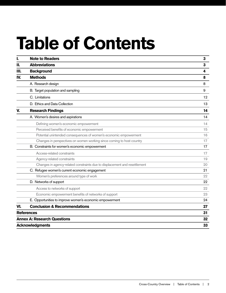# **Table of Contents**

| I.                                 | <b>Note to Readers</b>                                                     | 3  |
|------------------------------------|----------------------------------------------------------------------------|----|
| Н.                                 | <b>Abbreviations</b>                                                       | 3  |
| III.                               | <b>Background</b>                                                          | 4  |
| IV.                                | <b>Methods</b>                                                             | 8  |
|                                    | A. Research design                                                         | 8  |
|                                    | B. Target population and sampling                                          | 9  |
|                                    | C. Limitations                                                             | 12 |
|                                    | D. Ethics and Data Collection                                              | 13 |
| V.                                 | <b>Research Findings</b>                                                   | 14 |
|                                    | A. Women's desires and aspirations                                         | 14 |
|                                    | Defining women's economic empowerment                                      | 14 |
|                                    | Perceived benefits of economic empowerment                                 | 15 |
|                                    | Potential unintended consequences of women's economic empowerment          | 16 |
|                                    | Changes in perspectives on women working since coming to host country      | 17 |
|                                    | B. Constraints for women's economic empowerment                            | 17 |
|                                    | Access-related constraints                                                 | 17 |
|                                    | Agency-related constraints                                                 | 19 |
|                                    | Changes in agency-related constraints due to displacement and resettlement | 20 |
|                                    | C. Refugee women's current economic engagement                             | 21 |
|                                    | Women's preferences around type of work                                    | 22 |
|                                    | D. Networks of support                                                     | 22 |
|                                    | Access to networks of support                                              | 22 |
|                                    | Economic empowerment benefits of networks of support                       | 23 |
|                                    | E. Opportunities to improve women's economic empowerment                   | 24 |
| VI.                                | <b>Conclusion &amp; Recommendations</b>                                    | 27 |
| <b>References</b>                  | 31                                                                         |    |
| <b>Annex A: Research Questions</b> | 32                                                                         |    |
| <b>Acknowledgments</b>             | 33                                                                         |    |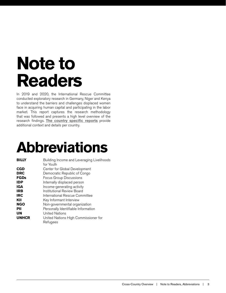## <span id="page-2-0"></span>**Note to Readers**

In 2019 and 2020, the International Rescue Committee conducted exploratory research in Germany, Niger and Kenya to understand the barriers and challenges displaced women face in acquiring human capital and participating in the labor market. This report captures the research methodology that was followed and presents a high level overview of the research findings. **The country specific reports** provide additional context and details per country.

## **Abbreviations**

| <b>BILLY</b> | Building Income and Leveraging Livelihoods<br>for Youth |
|--------------|---------------------------------------------------------|
| <b>CGD</b>   | Center for Global Development                           |
| <b>DRC</b>   | Democratic Republic of Congo                            |
| <b>FGDs</b>  | Focus Group Discussions                                 |
| <b>IDP</b>   | Internally displaced person                             |
| <b>IGA</b>   | Income-generating activity                              |
| <b>IRB</b>   | Institutional Review Board                              |
| <b>IRC</b>   | International Rescue Committee                          |
| KII          | Key Informant Interview                                 |
| <b>NGO</b>   | Non-governmental organization                           |
| PII          | Personally Identifiable Information                     |
| <b>UN</b>    | <b>United Nations</b>                                   |
| <b>UNHCR</b> | United Nations High Commissioner for                    |
|              | Refugees                                                |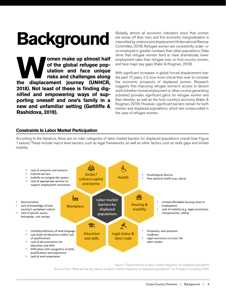## <span id="page-3-0"></span>**Background**

**Make up almost half of the global refugee population and face unique risks and challenges along displacement journey (UNHCR, of the global refugee population and face unique risks and challenges along 2018). Not least of these is finding dignified and empowering ways of supporting oneself and one's family in a new and unfamiliar setting (Gettliffe & Rashidova, 2019).** 

Globally, almost all economic indicators show that women are worse off than men, and this economic marginalization is intensified by violence and displacement (International Rescue Committee, 2019). Refugee women are consistently under- or un-employed in greater numbers than other populations. Data show that refugee women tend to have dramatically lower employment rates than refugee men, or host country women, and face major pay gaps (Kabir & Klugman, 2019).

With significant increases in global forced displacement over the past 10 years, it is now more critical than ever to consider the economic prospects of displaced women. Research suggests that improving refugee women's access to decent work (whether formal employment or other income generating activities) provides significant gains for refugee women and their families, as well as the host country's economy (Kabir & Klugman, 2019). However, significant barriers remain for both women and displaced populations, which are compounded in the case of refugee women.

#### **Constraints to Labor Market Participation**

According to the literature, there are six main categories of labor market barriers for displaced populations overall (see Figure 1 below). These include macro level barriers, such as legal frameworks, as well as other factors such as skills gaps and limited mobility.



Figure 1: Typical barriers to labor market integration for displaced populations Source: From "What are the key barriers to labour market integration of displaced populations?" by Prospera Consulting, 2020.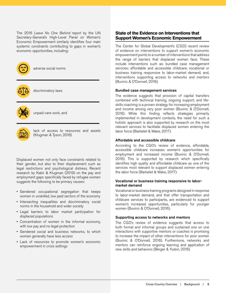The 2016 *Leave No One Behind* report by the UN Secretary-General's High-Level Panel on Women's Economic Empowerment similarly identifies four main systemic constraints contributing to gaps in women's economic opportunities, including:



adverse social norms



discriminatory laws



unpaid care work, and



lack of access to resources and assets (Klugman & Tyson, 2016)

Displaced women not only face constraints related to their gender, but also to their displacement such as legal restrictions and psychological distress. Recent research by Kabir & Klugman (2019) on the pay and employment gaps specifically faced by refugee women suggests the following to be primary causes:

- Gendered occupational segregation that keeps women in unskilled, low paid sectors of the economy
- Intersecting inequalities and discriminatory social norms in the household and wider society
- Legal barriers to labor market participation for displaced populations
- Concentration of women in the informal economy, with low pay and no legal protection
- Gendered social and business networks, to which women generally have less access
- Lack of resources to promote women's economic empowerment in crisis settings

#### **State of the Evidence on Interventions that Support Women's Economic Empowerment**

The Center for Global Development's (CGD) recent review of evidence on interventions to support women's economic empowerment points to a number of interventions that address the range of barriers that displaced women face. These include interventions such as: bundled case management services; affordable and accessible childcare; vocational or business training responsive to labor-market demand; and, interventions supporting access to networks and mentors (Buvinic & O'Donnell, 2016).

#### Bundled case management services

The evidence suggests that provision of capital transfers combined with technical training, ongoing support, and lifeskills coaching is a proven strategy for increasing employment and income among very poor women (Buvinic & O'Donnell, 2016). While this finding reflects strategies primarily implemented in development contexts, the need for such a holistic approach is also supported by research on the most relevant services to facilitate displaced women entering the labor force (Barbelet & Wake, 2017).

#### Affordable and accessible childcare

According to the CGD's review of evidence, affordable, accessible childcare increases women's opportunities for employment and increased income (Buvinic & O'Donnell, 2016). This is supported by research which specifically identifies high quality and affordable childcare as one of the services most relevant to support displaced women entering the labor force (Barbelet & Wake, 2017).

#### Vocational or business training responsive to labormarket demand

Vocational or business training programs designed in response to labor-market demand, and that offer transportation and childcare services to participants, are evidenced to support women's increased opportunities, particularly for younger women (Buvinic & O'Donnell, 2016).

#### Supporting access to networks and mentors

The CGD's review of evidence suggests that access to both formal and informal groups and sustained one on one interactions with supportive mentors or coaches is promising to increase the impact of other interventions for poor women (Buvinic & O'Donnell, 2016). Furthermore, networks and mentors can reinforce ongoing learning and application of new skills and behaviors (Berger & Yudon, 2016).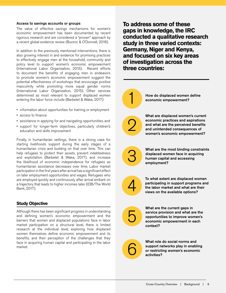#### Access to savings accounts or groups

The value of effective savings mechanisms for women's economic empowerment has been documented by recent rigorous research and are considered a "proven" approach by a recent global evidence review (Buvinic & O'Donnell, 2016).

In addition to the previously mentioned interventions, there is also growing interest in and evidence for promising practices to effectively engage men at the household, community and policy level to support women's economic empowerment (International Labor Organization, 2015). Recent efforts to document the benefits of engaging men in endeavors to promote women's economic empowerment suggest the potential effectiveness of workshops that encourage positive masculinity while promoting more equal gender norms (International Labor Organization, 2015). Other services determined as most relevant to support displaced women entering the labor force include (Barbelet & Wake, 2017):

- information about opportunities for training or employment
- access to finance
- assistance in applying for and navigating opportunities, and
- support for longer-term objectives, particularly children's education and skills improvement

Finally, in humanitarian settings, there is a strong case for starting livelihoods support during the early stages of a humanitarian crisis and building on that over time. This can help refugees to protect their assets, prevent indebtedness and exploitation (Barbelet & Wake, 2017), and increase the likelihood of economic independence for refugees as humanitarian assistance decreases over time. Labor market participation in the first years after arrival has a significant effect on later employment opportunities and wages. Refugees who are employed quickly and continuously after arrival embark on a trajectory that leads to higher incomes later (IDB/The World Bank, 2017).

#### **Study Objective**

Although there has been significant progress in understanding and defining women's economic empowerment and the barriers that women and displaced populations face in labor market participation on a structural level, there is limited research at the individual level, exploring how displaced women themselves define economic empowerment and its benefits, and their perception of the challenges that they face in acquiring human capital and participating in the labor market.

**To address some of these gaps in knowledge, the IRC conducted a qualitative research study in three varied contexts: Germany, Niger and Kenya, and focused on six key areas of investigation across the three countries:**

How do displaced women define economic empowerment? What are displaced women's current economic practices and aspirations and what are the perceived benefits and unintended consequences of women's economic empowerment? What are the most binding constraints displaced women face in acquiring human capital and accessing employment? 1 2 3



To what extent are displaced women participating in support programs and the labor market and what are their views on the available options?



What are the current gaps in service provision and what are the opportunities to improve women's economic empowerment in each context?

6

What role do social norms and support networks play in enabling or restricting women's economic activities?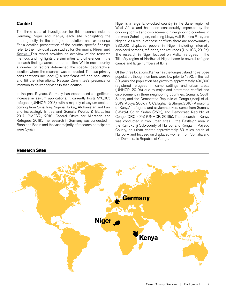#### **Context**

The three sites of investigation for this research included Germany, Niger and Kenya, each site highlighting the heterogeneity in the refugee population and experience. For a detailed presentation of the country specific findings, refer to the individual case studies for **Germany, Niger and Kenya.** This report provides an overview of the research methods and highlights the similarities and differences in the research findings across the three sites. Within each country, a number of factors determined the specific geographical location where the research was conducted. The two primary considerations included: (i) a significant refugee population, and (ii) the International Rescue Committee's presence or intention to deliver services in that location.

In the past 5 years, Germany has experienced a significant increase in asylum applications. It currently hosts 970,365 refugees (UNHCR, 2018), with a majority of asylum seekers coming from Syria, Iraq, Nigeria, Turkey, Afghanistan and Iran, and increasingly Eritrea and Somalia (Worbs & Baraulina, 2017; BMFSFJ, 2018; Federal Office for Migration and Refugees, 2019). The research in Germany was conducted in Bonn and Berlin and the vast majority of research participants were Syrian.

Niger is a large land-locked country in the Sahel region of West Africa and has been considerably impacted by the ongoing conflict and displacement in neighboring countries in the wider Sahel region, including Libya, Mali, Burkina Faso, and Nigeria. As a result of these conflicts, there are approximately 380,000 displaced people in Niger, including internally displaced persons, refugees, and returnees (UNHCR, 2019a). The research in Niger focused on Malian refugees in the Tillabéry region of Northwest Niger, home to several refugee camps and large numbers of IDPs.

Of the three locations, Kenya has the longest standing refugee population, though numbers were low prior to 1990. In the last 30 years, the population has grown to approximately 490,000 registered refugees in camp settings and urban areas (UNHCR, 2019b) due to major and protracted conflict and displacement in three neighboring countries: Somalia, South Sudan, and the Democratic Republic of Congo (Manji et al., 2019; Abuya, 2007, in O'Callaghan & Sturge, 2018). A majority of Kenya's refugees and asylum-seekers come from Somalia (~54%), South Sudan (25%), and Democratic Republic of Congo (DRC) (9%) (UNHCR, 2019b). The research in Kenya was conducted in two urban sites – the Eastleigh area in the Kamukunji Sub-county of Nairobi and Rongai in Kajiado County, an urban center approximately 50 miles south of Nairobi – and focused on displaced women from Somalia and the Democratic Republic of Congo.



#### **Research Sites**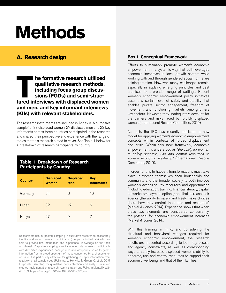## <span id="page-7-0"></span>**Methods**

### **A. Research design**

**TABLE THE FORMATIVE TEST INTERNATIONAL EXERCISE IN A USE IN A USE IN A USE IN A USE IN A USE IN A USE IN A USE IN A USE IN A USE IN A USE IN A USE IN A USE IN A USE IN A USE IN A USE IN A USE IN A USE IN A USE IN A USE IN qualitative research methods, including focus group discussions (FGDs) and semi-strucand men, and key informant interviews (KIIs) with relevant stakeholders.** 

The research instruments are included in Annex A. A purposive sample<sup>1</sup> of 83 displaced women, 27 displaced men and 23 key informants across three countries participated in the research and shared their perspective and experience with the range of topics that this research aimed to cover. See Table 1 below for a breakdown of research participants by country.

#### **Table 1: Breakdown of Research Participants by Country**

| <b>Country</b> | <b>Displaced</b><br><b>Women</b> | <b>Displaced</b><br><b>Men</b> | Key<br><b>Informants</b> |  |
|----------------|----------------------------------|--------------------------------|--------------------------|--|
| Germany        | 24                               | 6                              | 10                       |  |
| Niger          | 32                               | $12 \overline{ }$              | 6                        |  |
| Kenya          | 97                               | 9                              |                          |  |

<sup>1</sup> Researchers use purposeful sampling in qualitative research to deliberately identify and select research participants (groups or individuals) who are able to provide rich information and experiential knowledge on the topic of interest. Purposive sampling can include efforts to reach participants with diversified experiences, backgrounds and viewpoints, so as to gather information from a broad spectrum of those concerned by a phenomenon or issue. It is particularly effective for gathering in-depth information from relatively small sample sizes (Palinkas, L., Horwitz, S., Green, C. et al., 2015. Purposeful sampling for qualitative data collection and analysis in mixed method implementation research. Administration and Policy in Mental Health 42: 533. https://doi.org/10.1007/s10488-013-0528-y).

#### **Box 1. Conceptual Framework**

Efforts to sustainably promote women's economic empowerment in a systemic way that both leverages economic incentives in local growth sectors while working with and through gendered social norms are gaining traction. However, many challenges remain, especially in applying emerging principles and best practices to a broader range of settings. Recent women's economic empowerment policy initiatives assume a certain level of safety and stability that enables private sector engagement, freedom of movement, and functioning markets, among others key factors. However, they inadequately account for the barriers and risks faced by forcibly displaced women (International Rescue Committee, 2019).

As such, the IRC has recently published a new model for applying women's economic empowerment concepts within contexts of forced displacement and crisis. Within this new framework, economic empowerment is understood as *"the ability for women to safely generate, use and control resources to achieve economic wellbeing"* (International Rescue Committee, 2019).

In order for this to happen, transformations must take place in women themselves, their households, the community and the broader society to both improve women's access to key resources and opportunities (including education, training, financial literacy, capital, networks, employment options), and that increase their agency (the ability to safely and freely make choices about how they control their time and resources) (Markel & Jones, 2014). Experience shows that when these two elements are considered concurrently, the potential for economic empowerment increases (Markel & Jones, 2014).

With this framing in mind, and considering the structural and behavioral changes required for women's economic empowerment, the research results are presented according to both key access and agency constraints, as well as corresponding ways to safely increase displaced women's ability to generate, use and control resources to support their economic wellbeing, and that of their families.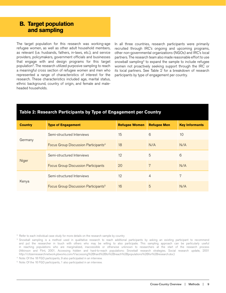### <span id="page-8-0"></span> **B. Target population and sampling**

The target population for this research was working-age refugee women, as well as other adult household members, as relevant (i.e. husbands, fathers, in-laws, etc.), and service providers, policymakers, government officials and businesses that engage with and design programs for this target population<sup>2</sup>. The research utilized purposive sampling to reach a meaningful cross section of refugee women and men who represented a range of characteristics of interest for the research. These characteristics included age, marital status, ethnic background, country of origin, and female and maleheaded households.

In all three countries, research participants were primarily recruited through IRC's ongoing and upcoming programs, other non-governmental organizations (NGOs) and IRC's local partners. The research team also made reasonable effort to use snowball sampling<sup>3</sup> to expand the sample to include refugee women not proactively seeking support through the IRC or its local partners. See Table 2 for a breakdown of research participants by type of engagement per country.

### **Table 2: Research Participants by Type of Engagement per Country**

| <b>Country</b> | <b>Type of Engagement</b>                        | <b>Refugee Women</b> | <b>Refugee Men</b> | <b>Key Informants</b> |
|----------------|--------------------------------------------------|----------------------|--------------------|-----------------------|
|                | Semi-structured Interviews                       | 15                   | 6                  | 10                    |
| Germany        | Focus Group Discussion Participants <sup>4</sup> | 18                   | N/A                | N/A                   |
|                | Semi-structured Interviews                       | 12                   | 5                  | 6                     |
| Niger          | <b>Focus Group Discussion Participants</b>       | 20                   | 7                  | N/A                   |
|                | Semi-structured Interviews                       | 12                   | $\overline{4}$     | 7                     |
| Kenya          | Focus Group Discussion Participants <sup>5</sup> | 16                   | 5                  | N/A                   |

<sup>2</sup> Refer to each individual case study for more details on the research sample by country

4 Note: Of the 18 FGD participants, 9 also participated in an interview.

5 Note: Of the 16 FGD participants, 1 also participated in an interview.

<sup>&</sup>lt;sup>3</sup> Snowball sampling is a method used in qualitative research to reach additional participants by asking an existing participant to recommend and put the researcher in touch with others who may be willing to also participate. This sampling approach can be particularly useful in reaching populations who are marginalized, inaccessible or otherwise unknown to researchers at the start of the research process (Atkinson and Flint, 2001. Accessing hidden and hard-to-reach populations: Snowball research strategies. Social research update, 2001 http://citizenresearchnetwork.pbworks.com/f/accessing%2Bhard%2Bto%2Breach%2Bpopulations%2Bfor%2Bresearch.doc)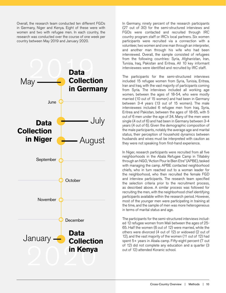Overall, the research team conducted ten different FGDs in Germany, Niger and Kenya. Eight of these were with women and two with refugee men. In each country, the research was conducted over the course of one week per country between May 2019 and January 2020.



In Germany, ninety percent of the research participants (27 out of 30) for the semi-structured interviews and FGDs were contacted and recruited through IRC country program staff or IRC's local partners. Six women participants were recruited via a connection with a volunteer, two women and one man through an interpreter, and another man through his wife who had been interviewed. Overall, the sample consisted of refugees from the following countries: Syria, Afghanistan, Iran, Tunisia, Iraq, Pakistan and Eritrea. All 10 key informant interviewees were identified and recruited by IRC staff.

The participants for the semi-structured interviews included 15 refugee women from Syria, Tunisia, Eritrea, Iran and Iraq, with the vast majority of participants coming from Syria. The interviews included all working age women, between the ages of 18-54, who were mostly married (10 out of 15 women) and had been in Germany between 3-4 years (13 out of 15 women). The male interviewees included 6 refugee men from Iraq, Syria, Eritrea and Pakistan, between the ages of 18-65, with 5 out of 6 men under the age of 34. Many of the men were single (4 out of 6) and had been in Germany between 3-4 years (4 out of 6). Given the demographic composition of the male participants, notably the average age and marital status, their perception of household dynamics between husbands and wives must be interpreted with caution as they were not speaking from first-hand experience.

In Niger, research participants were recruited from all five neighborhoods in the Abala Refugee Camp in Tillabéry through an NGO, "Action Pour le Bien Etre" (APBE), tasked with managing the camp. APBE contacted neighborhood chiefs, who in turn reached out to a woman leader for the neighborhood, who then recruited the female FGD and interview participants. The research team specified the selection criteria prior to the recruitment process, as described above. A similar process was followed for recruiting the men, with the neighborhood chief identifying participants available within the research period. However, most of the younger men were participating in training at the time, and the sample of men was more heterogeneous in terms of marital status and age.

The participants for the semi-structured interviews included 12 refugee women from Mali between the ages of 25- 65. Half the women (6 out of 12) were married, while the others were divorced (4 out of 12) or widowed (2 out of 12), and the vast majority of the women (11 out of 12) had spent 5+ years in Abala camp. Fifty-eight percent (7 out of 12) did not complete any education and a quarter (3 out of 12) attended Koranic school.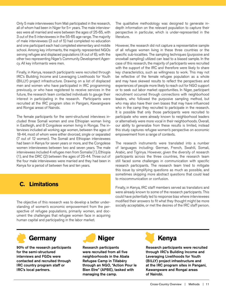<span id="page-10-0"></span>Only 5 male interviewees from Mali participated in the research, all of whom had been in Niger for 5+ years. The male interviewees were all married and were between the ages of 25-65, with 3 out of the 5 interviewees in the 55-65 age range. The majority of male interviewees (3 out of 5) had completed no education and one participant each had completed elementary and middle school. Among key informants, the majority represented NGOs serving refugee and displaced populations (4 out of 6), with the other two representing Niger's Community Development Agency. All key informants were men.

Finally, in Kenya, research participants were recruited through IRC's Building Income and Leveraging Livelihoods for Youth (BILLY) project infrastructure. Drawing on a list of displaced men and women who have participated in IRC programming previously, or who have registered to receive services in the future, the research team contacted individuals to gauge their interest in participating in the research. Participants were recruited at the IRC program sites in Pangani, Kawangware and Rongai areas of Nairobi.

The female participants for the semi-structured interviews included three Somali women and one Ethiopian woman living in Eastleigh, and 8 Congolese women living in Rongai. The interviews included all working age women, between the ages of 18-44, most of whom were either divorced, single or separated (7 out of 12 women). The Somali and Ethiopian interviewees had been in Kenya for seven years or more, and the Congolese women interviewees between two and seven years. The male interviewees included 4 refugee men from Somalia (1), Ethiopia (1), and the DRC (2) between the ages of 25-44. Three out of the four male interviewees were married and they had been in Kenya for a period of between five and ten years.

### **C. Limitations**

The objective of this research was to develop a better understanding of women's economic empowerment from the perspective of refugee populations, primarily women, and document the challenges that refugee women face in acquiring human capital and participating in the labor market.

The qualitative methodology was designed to generate indepth information on the relevant population to capture their perspective in particular, which is under-represented in the literature.

However, the research did not capture a representative sample of all refugee women living in these three countries or the specific sub-localities. The sampling techniques (purposive and snowball sampling) utilized can lead to a biased sample. In the case of this research, the majority of participants were recruited with the support of the IRC and therefore were likely to share key characteristics, such as willingness to work. This may not be reflective of the female refugee population as a whole and may have skewed results to reflect the perspectives and experiences of people more likely to reach out for NGO support or to seek out labor market opportunities. In Niger, participant recruitment occurred through connections with neighborhood leaders, who followed the purposive sampling method, but who may also have their own biases that may have influenced who in the camp they recruited to participate in the research. It is possible that only those participants were recruited to participate who were already known to neighborhood leaders or alternatively were more vocal in their neighborhoods. Overall, our ability to generalize from these results is limited, instead this study captures refugee women's perspective on economic empowerment from a range of contexts.

The research instruments were translated into a number of languages including: German, French, Swahili, Somali, Arabic, and Tigrinya. However, given the diversity of research participants across the three countries, the research team still faced some challenges in communication with specific research participants. The research team tried to mitigate this issue by simplifying questions as much as possible, and sometimes skipping more abstract questions that could lead to miscommunication or confusion.

Finally, in Kenya, IRC staff members served as translators and were already known to some of the research participants. This could have potentially led to response bias where interviewees modified their answers to fit what they thought might be more socially acceptable, or met the desires of the IRC staff person.



90% of the research participants for the semi-structured interviews and FGDs were contacted and recruited through IRC country program staff or IRC's local partners.



Research participants were recruited from all five neighborhoods in the Abala Refugee Camp in Tillabéry through an NGO, "Action Pour le Bien Etre" (APBE), tasked with managing the camp.



Research participants were recruited through IRC's Building Income and Leveraging Livelihoods for Youth (BILLY) project infrastructure and at the IRC program sites in Pangani, Kawangware and Rongai areas of Nairobi.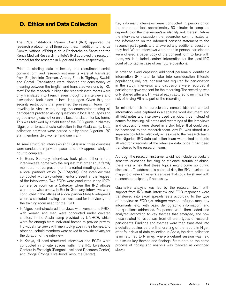### <span id="page-11-0"></span> **D. Ethics and Data Collection**

The IRC's Institutional Review Board (IRB) approved the research protocol for all three countries. In addition to this, Le Comite National d'Ethique de la Recherche en Sante and the Kenya Medical Research Institute's IRB approved the research protocol for the research in Niger and Kenya, respectively.

Prior to starting data collection, the recruitment script, consent form and research instruments were all translated from English into German, Arabic, French, Tigrinya, Swahili and Somali. Translations were checked for consistency of meaning between the English and translated versions by IRC staff. For the research in Niger, the research instruments were only translated into French, even though the interviews and discussions took place in local languages. Given this, and security restrictions that prevented the research team from traveling to Abala camp, during the enumerator training, all participants practiced asking questions in local languages and agreed among each other on the best translation for key terms. This was followed by a field test of the FGD guide in Niamey, Niger, prior to actual data collection in the Abala camp. Data collection activities were carried out by three Nigerien IRC staff members (two women and one man).

All semi-structured interviews and FGDs in all three countries were conducted in private spaces and took approximately an hour to complete.

- In Bonn, Germany, interviews took place either in the interviewee's home with the request that other adult family members not be present, or in a rented meeting space at a local partner's office (MIGRApolis). One interview was conducted with a volunteer mentor present at the request of the interviewee. Two FGDs were conducted in the IRC's conference room on a Saturday when the IRC offices were otherwise empty. In Berlin, Germany, interviews were conducted in the offices of a local partner (Jobs4Refugees), where a secluded seating area was used for interviews, and the training room used for the FGD.
- In Niger, semi-structured interviews with women and FGDs with women and men were conducted under covered shelters in the Abala camp provided by UNHCR, which were far enough from individual homes to provide privacy. Individual interviews with men took place in their homes, and other household members were asked to provide privacy for the duration of the interview.
- In Kenya, all semi-structured interviews and FGDs were conducted in private spaces within the IRC Livelihoods Centers in Eastleigh (Pangani Livelihood Resource Center) and Rongai (Rongai Livelihood Resource Center).

Key informant interviews were conducted in person or on the phone and took approximately 60 minutes to complete, depending on the interviewee's availability and interest. Before the interview or discussion, the researcher communicated all the information on the informed consent statement to the research participants and answered any additional questions they had. Where interviews were done in person, participants were offered a paper copy of the consent form to take with them, which included contact information for the local IRC point of contact in case of any future questions.

In order to avoid capturing additional personally identifiable information (PII) and to take into consideration illiterate populations, only oral consent was required for participation in the study. Interviews and discussions were recorded if participants gave consent for the recording. The recording was only started after any PII was already captured to minimize the risk of having PII as a part of the recording.

To minimize risk to participants, names, ids and contact information were captured in a separate word document and all field notes and interviews used participant ids instead of names for tracking. All notes and recordings of the interviews and discussions were stored in a Box folder that could only be accessed by the research team. Any PII was stored in a separate box folder, also only accessible to the research team. The Nigerien IRC data collection team was asked to delete all electronic records of the interview data, once it had been transferred to the research team.

Although the research instruments did not include particularly sensitive questions focusing on violence, trauma or abuse, there was a risk that these topics might come up during discussion. To address this potential risk, the IRC developed a mapping of relevant referral services that could be shared with research participants, if necessary.

Qualitative analysis was led by the research team with support from IRC staff. Interview and FGD responses were transferred into excel spreadsheets according to the type of interview or FGD (i.e. refugee women, refugee men, key informants, etc., with basic demographic information) and the questions addressed. Responses were then coded and analyzed according to key themes that emerged, and how these related to responses from different types of research participants. Findings and themes were then translated into a detailed outline, before final drafting of the report. In Niger, after four days of data collection in Abala, the data collection team returned to Niamey, where a debrief session was held to discuss key themes and findings. From here on the same process of coding and analysis was followed as described above.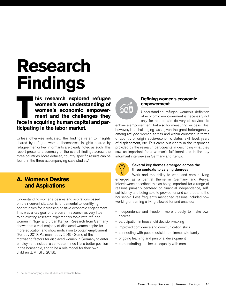## <span id="page-12-0"></span>**Research Findings**

**TA FACE EXPLORERT IS IT AND THE WOMER'S OWN UNderstanding of women's economic empowerment and the challenges they face in acquiring human capital and parwomen's own understanding of women's economic empowerment and the challenges they ticipating in the labor market.** 

Unless otherwise indicated, the findings refer to insights shared by refugee women themselves. Insights shared by refugee men or key informants are clearly noted as such. This report presents a summary of the overall findings across the three countries. More detailed, country-specific results can be found in the three accompanying case studies.<sup>6</sup>

### **A. Women's Desires and Aspirations**

Understanding women's desires and aspirations based on their current situation is fundamental to identifying opportunities for increasing positive economic engagement. This was a key goal of the current research, as very little to no existing research explores this topic with refugee women in Niger and urban Kenya. Research from Germany shows that a vast majority of displaced women aspire for more education and show motivation to obtain employment (Fendel, 2019; Pallmann et al., 2019). Some of the motivating factors for displaced women in Germany to enter employment include: a self-determined life, a better position in the household, and to be a role model for their own children (BMFSFJ, 2018).



#### **Defining women's economic empowerment**

Understanding refugee women's definition of economic empowerment is necessary not only for appropriate delivery of services to

enhance empowerment, but also for measuring success. This, however, is a challenging task, given the great heterogeneity among refugee women across and within countries in terms of country of origin, socio-economic status, skill level, years of displacement, etc. This came out clearly in the responses provided by the research participants in describing what they saw as important for a woman's fulfillment and in the key informant interviews in Germany and Kenya.



#### Several key themes emerged across the three contexts to varying degrees

Work and the ability to work and earn a living emerged as a central theme in Germany and Kenya. Interviewees described this as being important for a range of reasons primarily centered on financial independence, selfsufficiency and being able to provide for and contribute to the household. Less frequently mentioned reasons included how working or earning a living allowed for and enabled:

- independence and freedom, more broadly, to make own choices
- participation in household decision-making
- improved confidence and communication skills
- connecting with people outside the immediate family
- ongoing learning and personal development
- demonstrating intellectual equality with men

<sup>6</sup> The accompanying case studies are available here.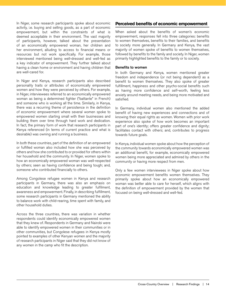<span id="page-13-0"></span>In Niger, some research participants spoke about economic activity, i.e. buying and selling goods, as a part of economic empowerment, but within the constraints of what is deemed acceptable in their environment. The vast majority of participants, however, talked about the presentation of an economically empowered woman, her children and her environment, alluding to access to financial means or resources but not work specifically. For example, those interviewed mentioned being well-dressed and well-fed as a key indicator of empowerment. They further talked about having a clean home or environment and having children that are well-cared for.

In Niger and Kenya, research participants also described personality traits or attributes of economically empowered women and how they were perceived by others. For example, in Niger, interviewees referred to an economically empowered woman as being a determined fighter ("battante" in French) and someone who is working all the time. Similarly, in Kenya, there was a recurring theme of persistence in the definition of economic empowerment where several women spoke to empowered women starting small with their businesses and building them over time through hard work and dedication. In fact, the primary form of work that research participants in Kenya referenced (in terms of current practice and what is desirable) was owning and running a business.

In both these countries, part of the definition of an empowered or fulfilled woman also included how she was perceived by others and how she contributed to or provided for others within her household and the community. In Niger, women spoke to how an economically empowered woman was well-respected by others; seen as having confidence and being tough; and, someone who contributed financially to others.

Among Congolese refugee women in Kenya and research participants in Germany, there was also an emphasis on education and knowledge leading to greater fulfilment, awareness and empowerment. Finally, in describing fulfillment, some research participants in Germany mentioned the ability to balance work with child-rearing, time spent with family, and other household duties.

Across the three countries, there was variation in whether respondents could identify economically empowered women that they knew of. Respondents in Germany and Nairobi were able to identify empowered women in their communities or in other communities, but Congolese refugees in Kenya mostly pointed to examples of other Kenyan women and the majority of research participants in Niger said that they did not know of any women in the camp who fit the description.

#### **Perceived benefits of economic empowerment**

When asked about the benefits of women's economic empowerment, responses fell into three categories: benefits to women themselves, benefits to their families, and benefits to society more generally. In Germany and Kenya, the vast majority of women spoke of benefits to women themselves, followed by benefits to the family and society. In Niger, women primarily highlighted benefits to the family or to society.

#### Benefits to women

In both Germany and Kenya, women mentioned greater freedom and independence (or not being dependent) as a benefit to women themselves. They also spoke of greater fulfillment, happiness and other psycho-social benefits such as having more confidence and self-worth, feeling less anxiety around meeting needs, and being more motivated and satisfied.

In Germany, individual women also mentioned the added benefit of having new experiences and connections and of knowing their equal rights as women. Women with prior work experience also spoke of how work becomes an important part of one's identity; offers greater confidence and dignity; facilitates contact with others; and, contributes to progress towards future goals.

In Kenya, individual women spoke about how the perception of the community towards economically empowered women was an additional benefit, for example, economically empowered women being more appreciated and admired by others in the community or having more respect from men.

Only a few women interviewees in Niger spoke about how economic empowerment benefits women themselves. They primarily spoke about how an economically empowered woman was better able to care for herself, which aligns with the definition of empowerment provided by the women that focused on being well-dressed and well-fed.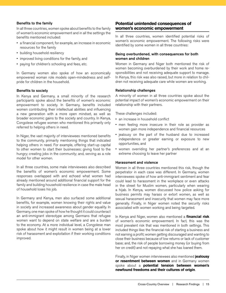#### <span id="page-14-0"></span>Benefits to the family

In all three countries, women spoke about benefits to the family of women's economic empowerment and in all the settings the benefits mentioned included:

- a financial component, for example, an increase in economic resources for the family
- building household resiliency
- improved living conditions for the family, and
- paying for children's schooling and fees, etc.

In Germany women also spoke of how an economically empowered woman role models open-mindedness and selfpride for children in the household.

#### Benefits to society

In Kenya and Germany, a small minority of the research participants spoke about the benefits of women's economic empowerment to society. In Germany, benefits included women contributing their intellectual abilities and influencing a new generation with a more open mindset, as well as broader economic gains to the society and country. In Kenya, Congolese refugee women who mentioned this primarily only referred to helping others in need.

In Niger, the vast majority of interviewees mentioned benefits to the community, primarily mentioning things that indicated helping others in need. For example, offering start-up capital to other women to start their businesses; giving food to the hungry; creating jobs in the community; and, serving as a role model for other women.

In all three countries, some male interviewees also described the benefits of women's economic empowerment. Some responses overlapped with and echoed what women had already mentioned around additional financial support for the family and building household resilience in case the male head of household loses his job.

In Germany and Kenya, men also surfaced some additional benefits, for example, women knowing their rights and value in society and increased awareness about gender equality. In Germany, one man spoke of how he thought it could counteract an anti-immigrant stereotype among Germans that refugee women want to depend on state welfare and are a burden to the economy. At a more individual level, a Congolese man spoke about how it might result in women being at a lower risk of harassment and exploitation if their working conditions improved.

#### **Potential unintended consequences of women's economic empowerment**

In all three countries, women identified potential risks of women's economic empowerment. The following risks were identified by some women in all three countries:

#### Being overburdened, with consequences for both women and children

Women in Germany and Niger both mentioned the risk of women becoming overburdened by their work and home responsibilities and not receiving adequate support to manage. In Kenya, this risk was also raised, but more in relation to children not receiving adequate care while women are working.

#### Relationship challenges

A minority of women in all three countries spoke about the potential impact of women's economic empowerment on their relationship with their partners.

These challenges included:

- an increase in household conflict
- men feeling more insecure in their role as provider as women gain more independence and financial resources
- jealousy on the part of the husband due to increased independence or greater earning or exposure to new opportunities, and
- women overriding her partner's preferences and at an extreme choosing to leave her partner

#### Harassment and violence

Women in all three countries mentioned this risk, though the perpetrator in each case was different. In Germany, women interviewees spoke of how anti-immigrant sentiment and fear could lead to harassment in the workplace or even attacks in the street for Muslim women, particularly when wearing a hijab. In Kenya, women discussed how police asking for business permits may harass or extort women, as well as sexual harassment and insecurity that women may face more generally. Finally, in Niger women noted the security risks associated with women working and being targeted.

In Kenya and Niger, women also mentioned a **financial risk**  of women's economic empowerment. In fact, this was the most prevalent risk that was mentioned in both settings. This included things like: the financial risk of starting a business and not earning a profit; women getting discouraged and wanting to close their business because of low returns or lack of customer base; and, the risk of people borrowing money (or buying from her on credit) and not repaying what she has loaned them.

Finally, in Niger women interviewees also mentioned **jealousy or resentment between women** and in Germany women spoke about a **potential tension between women's newfound freedoms and their cultures of origin**.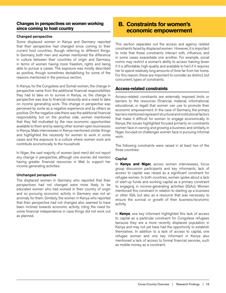#### <span id="page-15-0"></span>**Changes in perspectives on women working since coming to host country**

#### Changed perspective

Some displaced women in Kenya and Germany reported that their perspective had changed since coming to their current host countries, though referring to different things. In Germany, both men and women mentioned the difference in culture between their countries of origin and Germany, in terms of women having more freedom, rights and being able to pursue a career. The exposure was mostly described as positive, though sometimes destabilizing for some of the reasons mentioned in the previous section.

In Kenya, for the Congolese and Somali women, the change in perspective came from the additional financial responsibilities they had to take on to survive in Kenya, i.e. the change in perspective was due to financial necessity and a need to take on income generating work. This change in perspective was perceived by some as a negative experience and by others as positive. On the negative side there was the additional financial responsibility, but on the positive side, women mentioned that they felt motivated by the new economic opportunities available to them and by seeing other women open businesses in Kenya. Male interviewees in Kenya mentioned similar things and highlighted the necessity for women to work in some cases and the exposure to a culture where women work and contribute economically to the household.

In Niger, the vast majority of women (and men) did not report any change in perspective, although one woman did mention having greater financial resources in Mali to support her income generating activities.

#### Unchanged perspective

The displaced women in Germany who reported that their perspectives had not changed were more likely to be educated women who had worked in their country of origin and so pursuing economic activity in Germany was not an anomaly for them. Similarly, the women in Kenya who reported that their perspective had not changed also seemed to have been inclined towards economic activity, citing the need for some financial independence in case things did not work out as planned.

### **B. Constraints for women's economic empowerment**

This section separates out the access and agency related constraints faced by displaced women. However, it is important to note that these constraints interact with, influence, and in some cases exacerbate one another. For example, social norms may restrict a woman's ability to access training (even if it is affordable, high-quality and available to her) if it requires her to spend relatively long amounts of time far from her home. For this reason, these are important to consider as distinct, but concurrent, types of constraints.

#### **Access-related constraints**

Access-related constraints are externally imposed limits or barriers to the resources (financial, material, informational, educational, or legal) that women can use to promote their economic empowerment. In the case of Germany, the primary barriers mentioned represent structural and institutional factors that make it difficult for women to engage economically. In Kenya, the issues highlighted focused primarily on constraints women face in owning and growing a business and similarly, in Niger, focused on challenges women face in pursuing informal work.

The following constraints were raised in at least two of the three countries:

#### **Capital**

In **Kenya and Niger**, across women interviewees, focus group discussion participants and key informants, lack of access to capital was raised as a significant constraint for refugee women. In both countries, women spoke about a lack of start-up funds and working capital as a primary constraint to engaging in income-generating activities (IGAs). Women mentioned this constraint in relation to starting up a business or other IGA, but also as a resource that was necessary to ensure the survival or growth of their business/economic activity.

In **Kenya**, one key informant highlighted this lack of access to capital as a particular constraint for Congolese refugees because they are a more recently displaced population in Kenya and may not yet have had the opportunity to establish themselves. In addition to a lack of access to capital, one refugee woman and one key informant in Kenya also mentioned a lack of access to formal financial services, such as mobile money, as a constraint.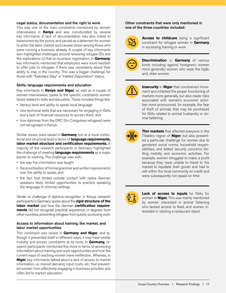#### Legal status, documentation and the right to work

This was one of the main constraints mentioned by women interviewees in **Kenya** and was corroborated by several key informants. A lack of documentation was also linked to harassment by the police, and served as a deterrent for women to enter the labor market and caused stress among those who were running a business already. A couple of key informants also highlighted challenges around renewing refugee IDs and the implications of that on business registration. In **Germany**, key informants mentioned that employers were more hesitant to offer jobs to refugees if there was uncertainty about their ability to stay in the country. This was a bigger challenge for those with "Tolerated Stay" or "Halted Deportation" status.

#### Skills, language requirements and education

Key informants in **Kenya and Niger**, as well as a couple of women interviewees, spoke to the specific constraints women faced related to skills and education. These included things like:

- literacy level and ability to speak local language
- new technical skills that are necessary for engaging in IGAs and a lack of financial resources to access them, and
- how diplomas from the DRC (for Congolese refugees) were not recognized in Kenya

Similar issues were raised in **Germany**, but at a more institutional and structural level in terms of **language requirements, labor market structure and certification requirements.** A majority of the research participants in Germany highlighted the challenge of meeting **language requirements** as a major barrier to working. The challenge was with:

- the way the information was taught
- the prioritization of formal grammar and written requirements over the ability to speak, and
- the fact that limited outside contact with native German speakers likely limited opportunities to practice speaking the language in informal settings

Similar to challenge of diploma recognition in Kenya, research participants in Germany spoke about the **rigid structure of the labor market** and how the German **certification requirements** did not recognize practical experience, or degrees from other countries, preventing refugees from quickly accessing work.

#### Access to information about training, the market, and labor market opportunities

This constraint was raised in **Germany and Niger**, and although it presented itself in different ways, it may have similar mobility and access constraints at its roots. In **Germany,** research participants mentioned this more in terms of accessing information about training and work opportunities and how the current ways of reaching women were ineffective. Whereas, in **Niger**, key informants talked about a lack of access to market information, i.e. market demand, input costs, etc. that prevented women from effectively engaging in business activities and often led to market saturation.

#### Other constraints that were only mentioned in one of the three countries included:



**Access to childcare** being a significant constraint for refugee women in **Germany** in accessing training or work



**Discrimination** in **Germany** of various kinds including against foreigners; women more generally; women who wear the hijab; and, older women



**Insecurity** in **Niger** that constrained movement and inhibited the proper functioning of markets more generally, but also made risks associated with women's economic activities more pronounced, for example, the fear of theft of animals that may be purchased for IGAs related to animal husbandry or animal fattening



**Thin markets** that affected everyone in the Tillabéry region of **Niger**, but also presented a particular challenge for women due to gendered social norms, household responsibilities, and added security concerns limiting mobility and economic activities. For example, women struggled to make a profit because they were unable to travel to the market to liquidate their goods and had to sell within the local community on credit and were subsequently not repaid on time



**Lack of access to inputs** for IGAs for women in **Niger.** This was mainly mentioned by women interested in animal fattening who lacked access to feed, and women interested in starting a restaurant stand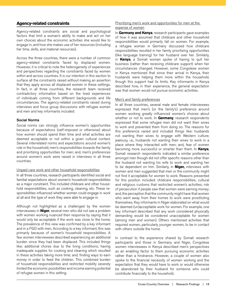#### <span id="page-17-0"></span>**Agency-related constraints**

Agency-related constraints are social and psychological factors that limit a woman's ability to make and act on her own choices about the economic activities she would like to engage in, and how she makes use of her resources (including her time, skills, and material resources).

Across the three countries, there were a number of common agency-related constraints faced by displaced women. However, it is critical to note the heterogeneity of experiences and perspectives regarding the constraints faced by women within and across countries. It is our intention in this section to surface all the constraints raised without making an assertion that they apply across all displaced women in these settings. In fact, in all three countries, the research team received contradictory information based on the lived experiences of individuals coming from different backgrounds and life circumstances. The agency-related constraints raised during interviews and focus group discussions with refugee women and men and key informants included:

#### Social Norms

Social norms can strongly influence women's opportunities because of expectations (self-imposed or otherwise) about how women should spend their time and what activities are deemed acceptable or not within a given cultural context. Several interrelated norms and expectations around women's role in the household; men's responsibilities towards the family and prioritizing opportunities for men; and, men's preferences around women's work were raised in interviews in all three countries.

#### Unpaid care work and other household responsibilities

In all three countries, research participants identified social and familial expectations about women's household responsibilities as a major constraint. This included childcare and other household responsibilities, such as cooking, cleaning, etc. These responsibilities influenced whether women could engage in work at all and the type of work they were able to engage in.

Although not highlighted as a challenged by the women interviewees in **Niger**, several men who did not see a problem with women working nuanced their response by saying that it would only be acceptable if the work was close to the home. The prevalence of this view was confirmed by a key informant and in a FGD with men. According to a key informant, this was primarily because of women's household responsibilities. A few women interviewees described experiencing an additional burden since they had been displaced. This included things like: additional chores due to the living conditions; having inadequate supplies for cooking and cleaning which resulted in these activities taking more time; and, finding ways to earn money in order to feed the children. This combined burden of household responsibilities and restricted mobility severely limited the economic possibilities and income earning potential of refugee women in this setting.

#### Prioritizing men's work and opportunities for men at the expense of women

In **Germany and Kenya**, research participants gave examples of how it was assumed that childcare and other household responsibilities would primarily fall on women. For example, a refugee woman in Germany discussed how childcare responsibilities resulted in her family prioritizing opportunities (like language training) for her husband over her. Similarly, in **Kenya**, a Somali woman spoke of having to quit her business (rather than receiving childcare support) when her circumstances changed. However, some Congolese women in Kenya mentioned that since their arrival in Kenya, their husbands were helping them more within the household, though this support had its limits. Key informants in Kenya described how, in their experience, the general expectation was that women would not pursue economic activities.

#### Men's and family preferences

In all three countries, several male and female interviewees expressed that men's (or the family's) preference around women working greatly influenced women's choices about whether or not to work. In **Germany**, research respondents expressed that some refugee men did not want their wives to work and prevented them from doing so. The reasons for this preference varied and included things like: husbands not wanting their wives to engage with Western culture; jealousy, i.e., husbands not wanting their wives to work in a place where they interacted with men; and, fear of women becoming more successful or smarter than them. In **Kenya**, Somali research respondents indicated a similar preference amongst men though did not offer specific reasons other than the husband not wanting his wife to work and wanting her to be dependent on him. Similarly, in **Niger,** interviews with women and men suggested that men or the community might not find it acceptable for women to work. Reasons presented for this position included: childcare responsibilities; cultural and religious customs that restricted women's activities; risk of persecution if people saw that women were earning money; and, the perception that the community might have that women who went away from their homes to work were prostituting themselves. Key informants in Niger elaborated on what would be deemed (un)acceptable work for women. For example, one key informant described that any work considered physically demanding would be considered unacceptable for women (among men and women). Others mentioned activities that required women, particularly younger women, to be in contact with others outside the home.

In contrast to the experience shared by Somali research participants and those in Germany and Niger, Congolese women interviewees in Kenya described men's perspectives as an enabling factor to them pursuing economic activities rather than a hindrance. However, a couple of women also spoke to the financial necessity of women working and the expectation that they would have to work or would otherwise be abandoned by their husband for someone who could contribute financially to the household.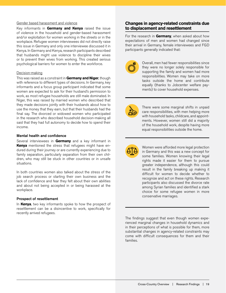#### <span id="page-18-0"></span>Gender based harassment and violence

Key informants in **Germany and Kenya** raised the issue of violence in the household and gender-based harassment and/or exploitation for women working in the streets or in the workplace. Refugee women interviewees did not directly raise this issue in Germany and only one interviewee discussed it in Kenya. In Germany and Kenya, research participants described that husbands might use violence to discipline their wives or to prevent their wives from working. This created serious psychological barriers for women to enter the workforce.

#### Decision-making

This was raised as a constraint in **Germany and Niger**, though with reference to different types of decisions. In Germany, key informants and a focus group participant indicated that some women are expected to ask for their husband's permission to work, as most refugee households are still male dominated. In Niger, this was raised by married women who described that they made decisions jointly with their husbands about how to use the money that they earn, but that their husbands had the final say. The divorced or widowed women who participated in the research who described household decision-making all said that they had full autonomy to decide how to spend their income.

#### Mental health and confidence

Several interviewees in **Germany** and a key informant in **Kenya** mentioned the stress that refugees might have endured during their journey or are currently experiencing due to family separation, particularly separation from their own children, who may still be stuck in other countries or in unsafe situations.

In both countries women also talked about the stress of the job search process or starting their own business and the lack of confidence and fear they felt about their own abilities and about not being accepted in or being harassed at the workplace.

#### Prospect of resettlement

In **Kenya**, two key informants spoke to how the prospect of resettlement can be a disincentive to work, specifically for recently arrived refugees.

#### **Changes in agency-related constraints due to displacement and resettlement**

For the research in **Germany**, when asked about how expectations of men and women had changed since their arrival in Germany, female interviewees and FGD participants generally indicated that:



Overall, men had fewer responsibilities since they were no longer solely responsible for supporting the family and women had more responsibilities. Women may take on more tasks outside the home and contribute equally (thanks to Jobcenter welfare payments) to cover household expenses.



There were some marginal shifts in unpaid care responsibilities, with men helping more with household tasks, childcare, and appointments. However, women still did a majority of the household work, despite having more equal responsibilities outside the home.

Women were afforded more legal protection in Germany and this was a new concept for some families. Women knowing their legal rights made it easier for them to pursue greater independence, although this could result in the family breaking up making it difficult for women to decide whether to recognize and act on these rights. Research participants also discussed the divorce rate among Syrian families and identified a stark choice for some refugee women in more conservative marriages.

The findings suggest that even though women experienced marginal changes in household dynamics and in their perceptions of what is possible for them, more substantial changes in agency-related constraints may come with difficult consequences for them and their families.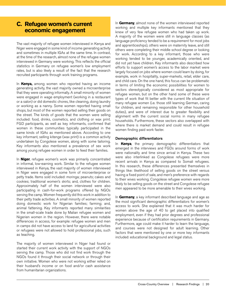### <span id="page-19-0"></span>**C. Refugee women's current economic engagement**

The vast majority of refugee women interviewed in Kenya and Niger were engaged in some kind of income generating activity and sometimes in multiple IGAs at the same time. In contrast, at the time of the research, almost none of the refugee women interviewed in Germany were working. This reflects the official statistics in Germany on refugee women's low employment rates, but is also likely a result of the fact that the research recruited participants through work training programs.

In **Kenya,** among women who reported having an income generating activity, the vast majority owned a microenterprise that they were operating informally. A small minority of women were engaged in wage employment (working in a restaurant or a salon) or did domestic chores, like cleaning, doing laundry or working as a nanny. Some women reported having small shops, but most of the women reported selling their goods on the street. The kinds of goods that the women were selling included: food, drinks, cosmetics, and clothing or wax print. FGD participants, as well as key informants, confirmed that women in these communities typically participated in the same kinds of IGAs as mentioned above. According to one key informant, selling kitenge (wax print) is a common activity undertaken by Congolese women, along with some tailoring. Key informants also mentioned a prevalence of sex work among young refugee women in order to feed their families.

In **Niger**, refugee women's work was primarily concentrated in informal, low-earning work. Similar to the refugee women interviewed in Kenya, the vast majority of women interviewed in Niger were engaged in some form of microenterprise or petty trade. Items sold included: moringa; peanuts; cakes and cookies; traditional women's skirts; and, clothes for children. Approximately half of the women interviewed were also participating in cash-for-work programs offered by NGOs serving the camp. Women frequently did this work in addition to their petty trade activities. A small minority of women reported doing domestic work for Nigerian families; farming; and, animal fattening. Key informants reported many similarities in the small-scale trade done by Malian refugee women and Nigerien women in the region. However, there were notable differences in access, for example: refugee women and men in camps did not have access to land for agricultural activities or refugees were not allowed to hold professional jobs, such as teaching.

The majority of women interviewed in Niger had found or started their current work activity with the support of NGOs serving the camp. Those who did not find work through the NGOs found it through their social network or through their own initiative. Women who were not working either relied on their husband's income or on food and/or cash assistance from humanitarian organizations.

In **Germany**, almost none of the women interviewed reported working and multiple key informants mentioned that they knew of very few refugee women who had taken up work. A majority of the women were still in language classes (as language proficiency tended to be a requirement for most jobs and apprenticeships), others were on maternity leave, and still others were completing their middle school degree or looking for work. According to a key informant, those who were working tended to be younger, academically oriented, and did not yet have children. Key informants also described how efforts to support women's access to the labor market were largely focused on jobs where women could learn by doing, for example, work in hospitality, super-markets, retail, elder care, and child care. On the one hand, this focus can be problematic in terms of limiting the economic possibilities for women to sectors stereotypically considered as most appropriate for refugee women, but on the other hand some of these were types of work that fit better with the current life situation of many refugee women (i.e. those still learning German, caring for children, and remaining responsible for other household duties), and were of interest due to greater flexibility and alignment with the current social norms in many refugee households. Furthermore, these sectors also overlapped with where there is market demand and could result in refugee women finding paid work faster.

#### Demographic differentiators

In **Kenya**, the primary demographic differentiators that emerged in the interviews and FGDs around forms of work were nationality and time since arrival in Kenya. These two were also interlinked as Congolese refugees were more recent arrivals in Kenya as compared to Somali refugees. In this research, these differences presented themselves in things like: likelihood of selling goods on the street versus having a fixed point of sale, and men's preference with regards to their wives working. Congolese refugee women were more likely to be selling goods on the street and Congolese refugee men appeared to be more amenable to their wives working.

In **Germany**, a key informant described language and age as the most significant demographic differentiators for women's access to work. She explained that it was much harder for women above the age of 40 to get placed into qualified employment, even if they had prior degrees and professional experience because of certification requirements in Germany. Furthermore, age could make it harder to learn the language, and courses were not designed for adult learning. Other factors that were mentioned by one or more key informants included: educational background and legal status.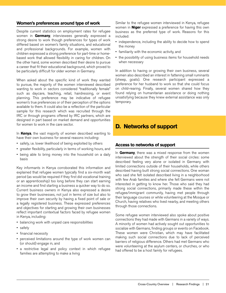#### <span id="page-20-0"></span>**Women's preferences around type of work**

Despite current statistics on employment rates for refugee women in **Germany**, interviewees generally expressed a strong desire to work though preferences for types of work differed based on women's family situations, and educational and professional backgrounds. For example, women with children expressed a strong preference for part-time or homebased work that allowed flexibility in caring for children. On the other hand, some women described their desire to pursue a career that fit their educational background, which proved to be particularly difficult for older women in Germany.

When asked about the specific kind of work they wanted to pursue, the majority of the women interviewed described wanting to work in sectors considered "traditionally female" such as daycare, teaching, retail, hairdressing, or event planning. This preference may be indicative of refugee women's true preferences or of their perception of the options available to them. It could also be a reflection of the particular sample for this research which was recruited through the IRC or through programs offered by IRC partners, which are designed in part based on market demand and opportunities for women to work in the care sector.

In **Kenya**, the vast majority of women described wanting to have their own business for several reasons including:

- safety, i.e. lower likelihood of being exploited by others
- greater flexibility, particularly in terms of working hours, and
- being able to bring money into the household on a daily basis

Key informants in Kenya corroborated this information and explained that refugee women typically find a six-month wait period (as would be required if they first did vocational training or an apprenticeship) too long before they can start earning an income and find starting a business a quicker way to do so. Current business owners in Kenya also expressed a desire to grow their businesses, not just in terms of size but also to improve their own security by having a fixed point of sale or a legally registered business. These expressed preferences and objectives for starting and growing their own businesses reflect important contextual factors faced by refugee women in Kenya, including:

- balancing work with unpaid care responsibilities
- safety
- financial necessity
- perceived limitations around the type of work women can (or should) engage in, and
- a restrictive legal and policy context in which refugee families are attempting to make a living

Similar to the refugee women interviewed in Kenya, refugee women in **Niger** expressed a preference for having this own business as the preferred type of work. Reasons for this included:

- independence, including the ability to decide how to spend the money
- familiarity with the economic activity, and
- the possibility of using business items for household needs when necessary

In addition to having or growing their own business, several women also described an interest in fattening small ruminants (sheep, goats). One research participant expressed a preference for her husband to work so that she could focus on child-rearing. Finally, several women shared how they found relying on humanitarian assistance or doing nothing unsatisfying because they knew external assistance was only temporary.

### **D. Networks of support**

#### **Access to networks of support**

In **Germany**, there was a mixed response from the women interviewed about the strength of their social circles: some described feeling very alone or isolated in Germany with limited connections outside of their households, while others described having built strong social connections. One woman who said she felt isolated described living in a neighborhood with few Arab families and where she felt Germans were not interested in getting to know her. Those who said they had strong social connections, primarily made these within the refugee/immigrant community, having met people through their language courses or while volunteering at the Mosque or Church, having relatives who lived nearby, and meeting others through those connections.

Some refugee women interviewed also spoke about positive connections they had made with Germans in a variety of ways. A minority of women had actively sought out opportunities to socialize with Germans, finding groups or events on Facebook. These women were Christian, which may have facilitated making such social connections due to lack of perceived barriers of religious difference. Others had met Germans who were volunteering at the asylum centers, or churches, or who had offered to be a host family for refugees.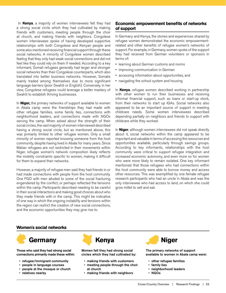<span id="page-21-0"></span> In **Kenya**, a majority of women interviewees felt they had a strong social circle which they had cultivated by making friends with customers, meeting people through the choir at church, and making friends with neighbors. Congolese women interviewees spoke of having developed supportive relationships with both Congolese and Kenyan people and some also mentioned receiving financial support through these social networks. A minority of Congolese women described feeling that they only had weak social connections and did not feel like they could rely on them if needed. According to a key informant, Somali refugees generally had larger and stronger social networks than their Congolese counterparts, which also translated into better business networks. However, Somalis mainly traded among themselves due to more significant language barriers (poor Swahili or English). Conversely, in her view, Congolese refugees could leverage a better mastery of Swahili to establish thriving businesses.

In **Niger,** the primary networks of support available to women in Abala camp were the friendships they had made with other refugee families, some family ties, connections with neighborhood leaders, and connections made with NGOs serving the camp. When asked about the strength of their social circles, the vast majority of women interviewed described having a strong social circle, but as mentioned above, this was primarily limited to other refugee women. Only a small minority of women reported knowing someone from the host community, despite having lived in Abala for many years. Since Malian refugees are not restricted in their movements within Niger, refugee women's network composition likely reflects the mobility constraints specific to women, making it difficult for them to expand their networks.

However, a majority of refugee men said they had friends in or had made connections with people from the host community. One FGD with men alluded to some of the social fracturing engendered by the conflict, or perhaps reflected the tensions within the camp. Participants described needing to be careful in their social interactions and making good choices about who they made friends with in the camp. This might be indicative of one way in which the ongoing instability and tensions within the region can restrict the creation of new social connections, and the economic opportunities they may give rise to.

#### **Economic empowerment benefits of networks of support**

In Germany and Kenya, the stories and experiences shared by refugee women demonstrated the economic empowermentrelated and other benefits of refugee women's networks of support. For example, in Germany, women spoke of the support they had received from German volunteers or sponsors in terms of:

- learning about German customs and norms
- improving communication in German
- accessing information about opportunities, and
- navigating the school system and housing

In **Kenya**, refugee women described working in partnership with other women to run their businesses and receiving informal financial support, such as loans or start-up stock, from their networks to start up IGAs. Social networks also appeared to be an important source of support in meeting childcare needs. Some women interviewees described depending partially on neighbors and friends to support with childcare while they worked.

In **Niger**, although women interviewees did not speak directly about it, social networks within the camp appeared to be important and valuable in terms of accessing the resources and opportunities available, particularly through savings groups. According to key informants, relationships with the host community were critical to support refugee integration and increased economic autonomy, and even more so for women who were more likely to remain isolated. One key informant mentioned that those refugees who had connections within the host community were able to borrow money and access other resources. This was exemplified by one female refugee research participants who had an uncle in Abala and was the only interviewee who had access to land, on which she could grow millet to sell and eat.

#### **Women's social networks**



Those who said they had strong social connections primarily made these within:

- refugee/immigrant community
- people in language courses
- people at the mosque or church
- relatives nearby



Women felt they had strong social circles which they had cultivated by:

- making friends with customers
- meeting people through the choir at church
- making friends with neighbors



The primary networks of support available to women in Abala camp were:

- other refugee families
- family ties
- neighborhood leaders
- NGOs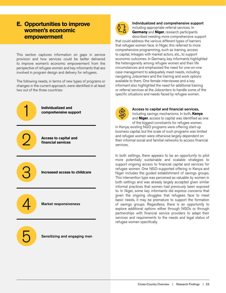### <span id="page-22-0"></span>**E. Opportunities to improve women's economic empowerment**

This section captures information on gaps in service provision and how services could be better delivered to improve women's economic empowerment from the perspective of refugee women and key informants that are involved in program design and delivery for refugees.

The following needs, in terms of new types of programs or changes in the current approach, were identified in at least two out of the three countries:



3

4

**Access to capital and financial services**

**Increased access to childcare**

Market responsiveness

5

Sensitizing and engaging men



Individualized and comprehensive support including appropriate referral services. In **Germany** and **Niger**, research participants described needing more comprehensive support

that could address the various different types of barriers that refugee women face. In Niger, this referred to more comprehensive programming, such as training, access to capital, linkages with market actors, etc., to support economic outcomes. In Germany, key informants highlighted the heterogeneity among refugee women and their life circumstances and emphasized the need for one-on-one case management to adequately meet needs, including navigating Jobcenters and the training and work options available to them. One female interviewee and a key informant also highlighted the need for additional training or referral services at the Jobcenters to handle some of the specific situations and needs faced by refugee women.



Access to capital and financial services, including savings mechanisms. In both, **Kenya**

and **Niger**, access to capital was identified as one of the biggest constraints for refugee women.

In Kenya, existing NGO programs were offering start-up business capital, but the scale of such programs was limited and refugee women were otherwise largely dependent on their informal social and familial networks to access financial services.

In both settings, there appears to be an opportunity to pilot more potentially sustainable and scalable strategies to support ongoing access to financial capital and services for refugee women. One NGO-supported offering in Kenya and Niger includes the guided establishment of savings groups. This intervention type was perceived as valuable by women in both settings and was already largely accepted given similar informal practices that women had previously been exposed to. In Niger, some key informants did express concerns that given the ongoing struggles that refugees face to meet basic needs, it may be premature to support the formation of savings groups. Regardless, there is an opportunity to explore additional options either through NGOs or through partnerships with financial service providers to adapt their services and requirements to the needs and legal status of refugee women specifically.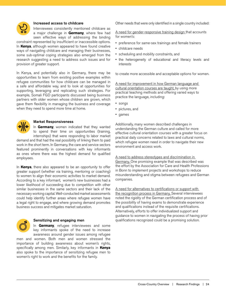

#### Increased access to childcare

Interviewees consistently mentioned childcare as a major challenge in **Germany**, where few had seen effective ways of addressing the binding

constraint represented by insufficient or inaccessible options. In **Kenya**, although women appeared to have found creative ways of navigating childcare and managing their businesses, some sub-optimal coping strategies also emerged from the research suggesting a need to address such issues and for provision of greater support.

In Kenya, and potentially also in Germany, there may be opportunities to learn from existing positive examples within refugee communities for how childcare can be managed in a safe and affordable way, and to look at opportunities for supporting, leveraging and replicating such strategies. For example, Somali FGD participants discussed being business partners with older women whose children are grown, which gave them flexibility in managing the business and coverage when they need to spend more time at home.



#### Market Responsiveness

In **Germany**, women indicated that they wanted to spend their time on opportunities (training, internships) that were responding to labor market

demand and that had the real possibility of linking them to paid work in the short term. In Germany, the care and service sectors featured prominently in conversations with key informants as ones where there was the highest demand for qualified employees.

In **Kenya**, there also appeared to be an opportunity to offer greater support (whether via training, mentoring or coaching) to women to align their economic activities to market demand. According to a key informant, women's new businesses had a lower likelihood of succeeding due to competition with other similar businesses in the same sectors and their lack of the necessary working capital. Well-conducted market assessments could help identify further areas where refugee women have a legal right to engage, and where growing demand promotes business success and mitigates market saturation.



#### Sensitizing and engaging men

In **Germany**, refugee interviewees and some key informants spoke of the need to increase awareness around gender issues among refugee

men and women. Both men and women stressed the importance of building awareness about women's rights, specifically among men. Similarly, key informants in **Kenya** also spoke to the importance of sensitizing refugee men to women's right to work and the benefits for the family.

Other needs that were only identified in a single country included:

A need for gender-responsive training design that accounts for women's:

- preference for same-sex trainings and female trainers
- childcare needs
- scheduling and mobility constraints, and
- the heterogeneity of educational and literacy levels and interests

to create more accessible and acceptable options for women.

A need for improvement in how German language and cultural orientation courses are taught, by using more practical teaching methods and offering varied ways to practice the language, including:

- songs
- pictures, and
- games

Additionally, many women described challenges in understanding the German culture and called for more effective cultural orientation courses with a greater focus on practical daily concerns related to laws and cultural norms, which refugee women need in order to navigate their new environment and access work.

A need to address stereotypes and discrimination in Germany. One promising example that was described was the effort by the Association for Care and Health Professions in Bonn to implement projects and workshops to reduce misunderstanding and stigma between refugees and German companies.

A need for alternatives to certifications or support with the recognition process in Germany. Several interviewees noted the rigidity of the German certification process and of the possibility of having exams to demonstrate experience and qualifications instead of the requisite certifications. Alternatively, efforts to offer individualized support and guidance to women in navigating the process of having prior qualifications recognized could be a promising solution.

Cross-Country Overview | Research Findings | 24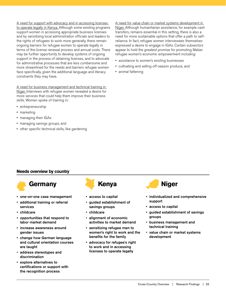A need for support with advocacy and in accessing licenses to operate legally in Kenya. Although some existing programs support women in accessing appropriate business licenses and by sensitizing local administration officials and leaders to the rights of refugees to work more generally, there remain ongoing barriers for refugee women to operate legally in terms of the license renewal process and annual costs. There may be further opportunity to develop systems of ongoing support in the process of obtaining licenses, and to advocate for administrative processes that are less cumbersome and more streamlined for the needs and barriers refugee women face specifically, given the additional language and literacy constraints they may have.

A need for business management and technical training in Niger. Interviews with refugee women revealed a desire for more services that could help them improve their business skills. Women spoke of training in:

- entrepreneurship
- marketing
- managing their IGAs
- managing savings groups, and
- other specific technical skills, like gardening

A need for value chain or market systems development in Niger. Although humanitarian assistance, for example cash transfers, remains essential in this setting, there is also a need for more sustainable options that offer a path to selfreliance. In fact, refugee women interviewees themselves expressed a desire to engage in IGAs. Certain subsectors appear to hold the greatest promise for promoting Malian refugee women's economic empowerment including:

- assistance to women's existing businesses
- cultivating and selling off-season produce, and
- animal fattening

#### **Needs overview by country**



- one-on-one case management
- additional training or referral services
- childcare
- opportunities that respond to labor market demand
- increase awareness around gender issues
- change how German language and cultural orientation courses are taught
- address stereotypes and discrimination
- explore alternatives to certifications or support with the recognition process



- access to capital
- guided establishment of savings groups
- childcare
- alignment of economic activities to market demand
- sensitizing refugee men to women's right to work and the benefits for the family
- advocacy for refugee's right to work and in accessing licenses to operate legally



- individualized and comprehensive support
- access to capital
- guided establishment of savings groups
- business management and technical training
- value chain or market systems development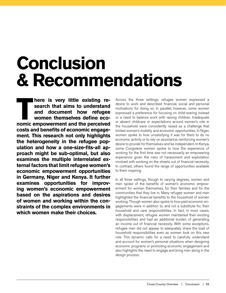## <span id="page-25-0"></span>**Conclusion & Recommendations**

**There is very little existing research that aims to understand and document how refugee women themselves define economic empowerment and the perceived search that aims to understand and document how refugee women themselves define ecocosts and benefits of economic engagement. This research not only highlights the heterogeneity in the refugee population and how a one-size-fits-all approach might be sub-optimal, but also examines the multiple interrelated external factors that limit refugee women's economic empowerment opportunities in Germany, Niger and Kenya. It further examines opportunities for improving women's economic empowerment based on the aspirations and desires of women and working within the constraints of the complex environments in which women make their choices.** 

Across the three settings, refugee women expressed a desire to work and described financial, social and personal motivations for doing so. In parallel, however, some women expressed a preference for focusing on child-rearing instead or a need to balance work with raising children. Inadequate or absent childcare or expectations around women's role in the household were consistently raised as a challenge that limited women's mobility and economic opportunities. In Niger, women spoke to how unsatisfying it was for them to do no economic activity or to rely on assistance, reinforcing women's desire to provide for themselves and be independent. In Kenya, some Congolese women spoke to how the experience of working for the first time was not necessarily an empowering experience given the risks of harassment and exploitation involved with working on the streets out of financial necessity. In contrast, others found the range of opportunities available to them inspiring.

In all three settings, though to varying degrees, women and men spoke of the benefits of women's economic empowerment for women themselves, for their families and for the communities that they live in. Many refugee women and men highlighted the financial benefits to the household of women working. Though women also spoke to how paid economic engagements were in addition to, and not a substitute for, their household and care responsibilities. In fact, in most cases, with displacement, refugee women maintained their existing responsibilities and had an additional burden of generating an income out of financial necessity. With some exceptions, refugee men did not appear to adequately share the load of household responsibilities even as women took on this new role. This dynamic calls for a need to carefully understand and account for women's personal situations when designing economic programs or promoting economic engagement and also highlights the need to engage and bring men along in the design process.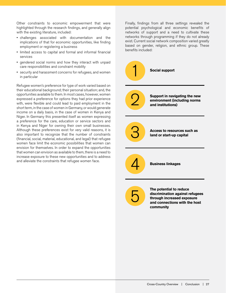Other constraints to economic empowerment that were highlighted through the research findings, and generally align with the existing literature, included:

- challenges associated with documentation and the implications of that for economic opportunities, like finding employment or registering a business
- limited access to capital and formal and informal financial services
- gendered social norms and how they interact with unpaid care responsibilities and constraint mobility
- security and harassment concerns for refugees, and women in particular

Refugee women's preference for type of work varied based on their educational background; their personal situation; and, the opportunities available to them. In most cases, however, women expressed a preference for options they had prior experience with, were flexible and could lead to paid employment in the short term, in the case of women in Germany, or would generate income on a daily basis, in the case of women in Kenya and Niger. In Germany this presented itself as women expressing a preference for the care, education or service sectors and in Kenya and Niger for owning their own small businesses. Although these preferences exist for very valid reasons, it is also important to recognize that the number of constraints (financial, social, material, educational, and legal) that refugee women face limit the economic possibilities that women can envision for themselves. In order to expand the opportunities that women can envision as available to them, there is a need to increase exposure to these new opportunities and to address and alleviate the constraints that refugee women face.

Finally, findings from all three settings revealed the potential psychological and economic benefits of networks of support and a need to cultivate these networks through programming if they do not already exist. Current social network composition varied greatly based on gender, religion, and ethnic group. These benefits included:

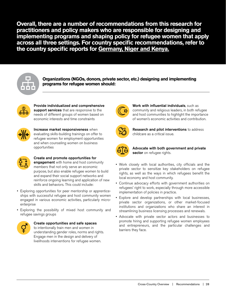**Overall, there are a number of recommendations from this research for practitioners and policy makers who are responsible for designing and implementing programs and shaping policy for refugee women that apply across all three settings. For country specific recommendations, refer to the country specific reports for Germany, Niger and Kenya.** 



**Organizations (NGOs, donors, private sector, etc.) designing and implementing programs for refugee women should:**



Provide individualized and comprehensive support services that are responsive to the needs of different groups of women based on economic interests and time constraints



Increase market responsiveness when evaluating skills-building trainings on offer to refugee women for employment opportunities and when counseling women on business opportunities



#### Create and promote opportunities for engagement with home and host community

members that not only serve an economic purpose, but also enable refugee women to build and expand their social support networks and reinforce ongoing learning and application of new skills and behaviors. This could include:

- Exploring opportunities for peer mentorship or apprenticeships with successful refugee and host community women engaged in various economic activities, particularly microenterprise
- Exploring the possibility of mixed host community and refugee savings groups



#### Create opportunities and safe spaces to intentionally train men and women in

understanding gender roles, norms and rights. Engage men in the design and delivery of livelihoods interventions for refugee women.



Work with influential individuals, such as community and religious leaders, in both refugee and host communities to highlight the importance of women's economic activities and contribution.



Research and pilot interventions to address childcare as a critical issue.



Advocate with both government and private sector on refugee rights.

- Work closely with local authorities, city officials and the private sector to sensitize key stakeholders on refugee rights, as well as the ways in which refugees benefit the local economy and host community.
- Continue advocacy efforts with government authorities on refugees' right to work, especially through more accessible implementation of policies in practice.
- Explore and develop partnerships with local businesses, private sector organizations, or other market-focused institutions and organizations who share an interest in streamlining business licensing processes and renewals.
- Advocate with private sector actors and businesses to promote hiring and supporting refugee women employees and entrepreneurs, and the particular challenges and barriers they face.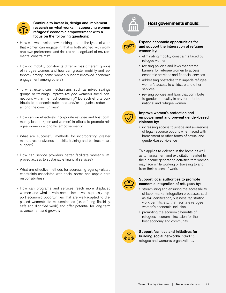

#### Continue to invest in, design and implement research on what works in supporting women refugees' economic empowerment with a focus on the following questions:

- How can we develop new thinking around the types of work that women can engage in, that is both aligned with women's own preferences and desires and cognizant of environmental constraints?
- How do mobility constraints differ across different groups of refugee women, and how can greater mobility and autonomy among some women support improved economic engagement among others?
- To what extent can mechanisms, such as mixed savings groups or trainings, improve refugee women's social connections within the host community? Do such efforts contribute to economic outcomes and/or prejudice reduction among the communities?
- How can we effectively incorporate refugee and host community leaders (men and women) in efforts to promote refugee women's economic empowerment?
- What are successful methods for incorporating greater market responsiveness in skills training and business-start support?
- How can service providers better facilitate women's improved access to sustainable financial services?
- What are effective methods for addressing agency-related constraints associated with social norms and unpaid care responsibilities?
- How can programs and services reach more displaced women and what private sector incentives expressly support economic opportunities that are well-adapted to displaced women's life circumstances (i.e. offering flexibility, safe and dignified work) and offer potential for long-term advancement and growth?



#### **Host governments should:**



#### Expand economic opportunities for and support the integration of refugee women by:

- eliminating mobility constraints faced by refugee women
- revising policies and laws that create barriers for refugee women to access economic activities and financial services
- addressing obstacles that impede refugee women's access to childcare and other services
- revising policies and laws that contribute to gender inequality in any form for both national and refugee women



#### Improve women's protection and empowerment and prevent gender-based violence by:

• increasing access to justice and awareness of legal recourse options when faced with harassment or other forms of sexual and gender-based violence

This applies to violence in the home as well as to harassment and exploitation related to their income generating activities that women may face while working or traveling to and from their places of work.



#### Support local authorities to promote economic integration of refugees by:

- streamlining and ensuring the accessibility of labor market integration processes, such as skill certification, business registration, work permits, etc., that facilitate refugee women's economic inclusion
- promoting the economic benefits of refugees' economic inclusion for the host economy and community



Support facilities and initiatives for building social networks including refugee and women's organizations.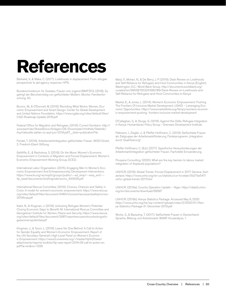## <span id="page-29-0"></span>**References**

Barbelet, V., & Wake, C. (2017). Livelihoods in displacement: From refugee perspectives to aid agency response. HPG.

Bundesministerium für Soziales, Frauen und Jugend (BMFSFJ). (2018). So gelingt der Berufseinstieg von geflüchteten Müttern. Monitor Familienforschung, 40.

Buvinic, M., & O'Donnell, M. (2016). Revisiting What Works: Women, Economic Empowerment and Smart Design. Center for Global Development and United Nations Foundation. https://www.cgdev.org/sites/default/files/ CGD-Roadmap-Update-2016.pdf

Federal Office for Migration and Refugees. (2019). Current Numbers: http:// www.bamf.de/SharedDocs/Anlagen/DE/Downloads/Infothek/Statistik/ Asyl/aktuelle-zahlen-zu-asyl-juni-2019.pdf?\_\_blob=publicationFile

Fendel, T. (2019). Arbeitsmarktintegration geflüchteter Frauen. WISO Direkt, 2. Friedrich-Ebert-Stiftung.

Gettliffe, E., & Rashidova, S. (2019). On the Move: Women's Economic Empowerment in Contexts of Migration and Forced Displacement. Women's Economic Empowerment Working Group, DCED.

International Labor Organization. (2015). Engaging Men In Women's Economic Empowerment And Entrepreneurship Development Interventions. https://www.ilo.org/wcmsp5/groups/public/---ed\_emp/---emp\_ent/-- ifp\_seed/documents/briefingnote/wcms\_430936.pdf

International Rescue Committee. (2019). Choices, Chances and Safety in Crisis: A model for women's economic empowerment. https://www.rescue. org/sites/default/files/document/3480/choiceschancesandsafetyincrisis-2019final.pdf

Kabir, R., & Klugman, J. (2019). Unlocking Refugee Women's Potential: Closing Economic Gaps to Benefit All. International Rescue Committee and Georgetown Institute for Women, Peace and Security. https://www.rescue. org/sites/default/files/document/3987/reportrescueworksunlockingrefugeewomenspotential.pdf

Klugman, J., & Tyson, L. (2016). Leave No One Behind: A Call to Action for Gender Equality and Women's Economic Empowerment. Report of the UN Secretary-General's High-Level Panel on Women's Economic Empowerment. https://www2.unwomen.org/-/media/hlp%20wee/ attachments/reports-toolkits/hlp-wee-report-2016-09-call-to-action-en. pdf?la=en&vs=1028

Manji, F., Mohan, N., & De Berry, J. P. (2019). Desk Review on Livelihoods and Self-Reliance for Refugees and Host Communities in Kenya (English). Washington, D.C.: World Bank Group. http://documents.worldbank.org/ curated/en/685581553241680189/Desk-Review-on-Livelihoods-and-Self-Reliance-for-Refugees-and-Host-Communities-in-Kenya

Markel, E., & Jones, L. (2014). Women's Economic Empowerment: Pushing The Frontiers Of Inclusive Market Development. USAID – Leveraging Economic Opportunities. https://www.marketlinks.org/library/womens-economic-empowerment-pushing- frontiers-inclusive-market-development

O'Callaghan, S., & Sturge, G. (2018). Against the Odds: Refugee Integration in Kenya. Humanitarian Policy Group - Oversees Development Institute.

Pallmann, I., Ziegler, J., & Pfeffer-Hoffmann, C. (2019). Geflüchtete Frauen als Zielgruppe der Arbeitsmarktförderung. Förderprogramm "Integration durch Qualifizierung".

Pfeffer-Hoffmann, C. (Ed.). (2017). Spezifische Herausforderungen der Arbeitsmarktintegration geflüchteter Frauen. Fachstelle Einwanderung.

Prospera Consulting. (2020). What are the key barriers to labour market integration of displaced populations?

UNHCR. (2018). Global Trends: Forced Displacement in 2017. Geneva, Switzerland. https://www.unhcr.org/en-us/statistics/un-hcrstats/5b27be547/ unhcr-global-trends-2017.html

UNHCR. (2019a). Country Operation Update – Niger. https://data2.unhcr. org/en/documents/download/69587

UNHCR. (2019b). Kenya Statistics Package. Accessed May 6, 2020. https://www.unhcr.org/ke/wp-content/uploads/sites/2/2020/01/Kenya-Statistics-Package-31-December-2019.pdf

Worbs, S., & Baraulina, T. (2017). Geflüchtete Frauen in Deutschland: Sprache, Bildung und Arbeitsmarkt. BAMF-Kurzanalyse, 1.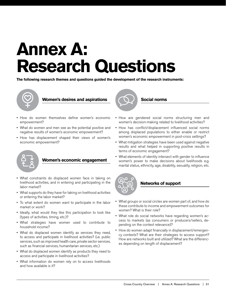## <span id="page-30-0"></span>**Annex A: Research Questions**

**The following research themes and questions guided the development of the research instruments:** 



**Women's desires and aspirations**

- How do women themselves define women's economic empowerment?
- What do women and men see as the potential positive and negative results of women's economic empowerment?
- How has displacement shaped their views of women's economic empowerment?



#### **Women's economic engagement**

- What constraints do displaced women face in taking on livelihood activities, and in entering and participating in the labor market?
- What supports do they have for taking on livelihood activities or entering the labor market?
- To what extent do women want to participate in the labor market or work?
- Ideally, what would they like this participation to look like (types of activities, timing, etc.)?
- What strategies have women used to contribute to household income?
- What do displaced women identify as services they need, to access and participate in livelihood activities? (i.e. public services, such as improved health care, private sector services, such as financial services, humanitarian services, etc.)
- What do displaced women identify as products they need to access and participate in livelihood activities?
- What information do women rely on to access livelihoods and how available is it?



**Social norms** 

- How are gendered social norms structuring men and women's decision-making related to livelihood activities?
- How has conflict/displacement influenced social norms among displaced populations to either enable or restrict women's economic empowerment in post-crisis settings?
- What mitigation strategies have been used against negative results and what helped in supporting positive results in terms of economic engagement?
- What elements of identity intersect with gender to influence women's power to make decisions about livelihoods e.g. marital status, ethnicity, age, disability, sexuality, religion, etc.



#### **Networks of support**

- What groups or social circles are women part of, and how do these contribute to income and empowerment outcomes for women? What is their role?
- What role do social networks have regarding women's access to markets (as consumers or producers/sellers, depending on the context relevance)?
- How do women adapt financially in displacement/emergency contexts? What are their strategies to access support? How are networks built and utilized? What are the differences depending on length of displacement?